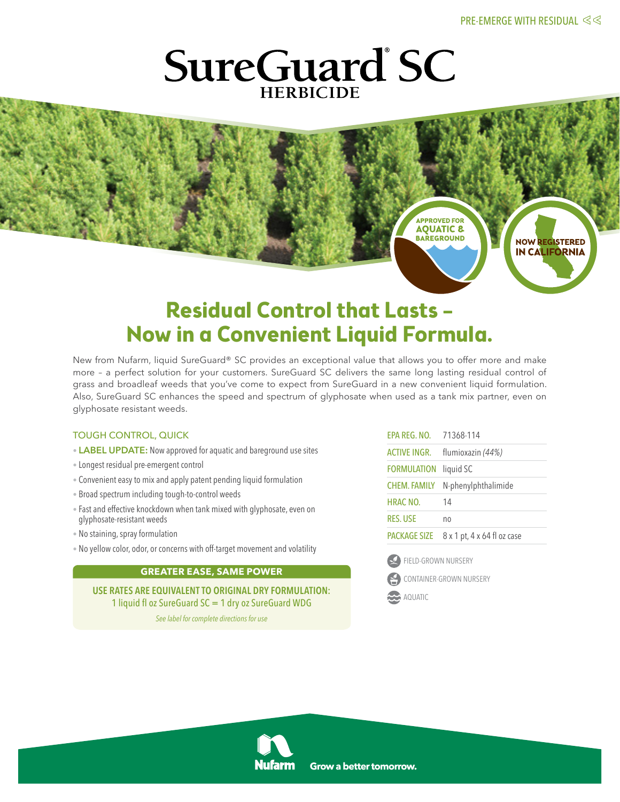**NOW REGISTERED IN CALIFORNIA** 

## **SureGuard SC HFRBICIDE**

### **Residual Control that Lasts – Now in a Convenient Liquid Formula.**

New from Nufarm, liquid SureGuard® SC provides an exceptional value that allows you to offer more and make more – a perfect solution for your customers. SureGuard SC delivers the same long lasting residual control of grass and broadleaf weeds that you've come to expect from SureGuard in a new convenient liquid formulation. Also, SureGuard SC enhances the speed and spectrum of glyphosate when used as a tank mix partner, even on glyphosate resistant weeds.

#### TOUGH CONTROL, QUICK

- LABEL UPDATE: Now approved for aquatic and bareground use sites
- Longest residual pre-emergent control
- Convenient easyto mix and apply patent pending liquid formulation
- Broad spectrum including tough-to-control weeds
- Fast and effective knockdown when tank mixed with glyphosate, even on glyphosate-resistant weeds
- No staining, spray formulation
- No yellow color, odor, or concerns with off-target movement and volatility

#### **GREATER EASE, SAME POWER**

USE RATES ARE EQUIVALENT TO ORIGINAL DRY FORMULATION: 1 liquid fl oz SureGuard SC = 1 dry oz SureGuard WDG

*See label for complete directions for use*

| EPA REG. NO. 71368-114 |                             |
|------------------------|-----------------------------|
| ACTIVE INGR.           | flumioxazin (44%)           |
| <b>FORMULATION</b>     | liquid SC                   |
| <b>CHEM. FAMILY</b>    | N-phenylphthalimide         |
| HRAC NO.               | 14                          |
| <b>RES. USE</b>        | no                          |
| PACKAGE SIZE           | 8 x 1 pt, 4 x 64 fl oz case |
|                        |                             |



CONTAINER-GROWN NURSERY

**BAREGROUND**

**APPROVED FOR AQUATIC 8** 

AQUATIC